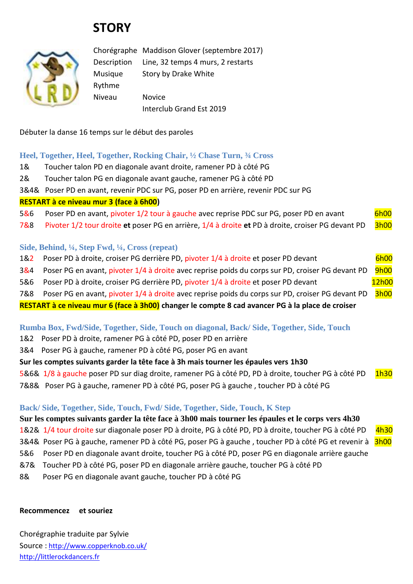# **STORY**



Chorégraphe Maddison Glover (septembre 2017) Description Line, 32 temps 4 murs, 2 restarts Musique Story by Drake White Rythme Niveau Novice Interclub Grand Est 2019

Débuter la danse 16 temps sur le début des paroles

#### **Heel, Together, Heel, Together, Rocking Chair, ½ Chase Turn, ¾ Cross**

- 1& Toucher talon PD en diagonale avant droite, ramener PD à côté PG
- 2& Toucher talon PG en diagonale avant gauche, ramener PG à côté PD
- 3&4& Poser PD en avant, revenir PDC sur PG, poser PD en arrière, revenir PDC sur PG

#### **RESTART à ce niveau mur 3 (face à 6h00)**

- 5&6 Poser PD en avant, pivoter 1/2 tour à gauche avec reprise PDC sur PG, poser PD en avant 6h00
- 7&8 Pivoter 1/2 tour droite **et** poser PG en arrière, 1/4 à droite **et** PD à droite, croiser PG devant PD 3h00

### **Side, Behind, ¼, Step Fwd, ¼, Cross (repeat)**

- 1&2 Poser PD à droite, croiser PG derrière PD, pivoter 1/4 à droite et poser PD devant 6h00 3&4 Poser PG en avant, pivoter 1/4 à droite avec reprise poids du corps sur PD, croiser PG devant PD 9h00
- 5&6 Poser PD à droite, croiser PG derrière PD, pivoter 1/4 à droite et poser PD devant 12h00

7&8 Poser PG en avant, pivoter 1/4 à droite avec reprise poids du corps sur PD, croiser PG devant PD 3h00

**RESTART à ce niveau mur 6 (face à 3h00) changer le compte 8 cad avancer PG à la place de croiser** 

## **Rumba Box, Fwd/Side, Together, Side, Touch on diagonal, Back/ Side, Together, Side, Touch**

1&2 Poser PD à droite, ramener PG à côté PD, poser PD en arrière

3&4 Poser PG à gauche, ramener PD à côté PG, poser PG en avant

## **Sur les comptes suivants garder la tête face à 3h mais tourner les épaules vers 1h30**

5&6& 1/8 à gauche poser PD sur diag droite, ramener PG à côté PD, PD à droite, toucher PG à côté PD 1h30

7&8& Poser PG à gauche, ramener PD à côté PG, poser PG à gauche , toucher PD à côté PG

## **Back/ Side, Together, Side, Touch, Fwd/ Side, Together, Side, Touch, K Step**

## **Sur les comptes suivants garder la tête face à 3h00 mais tourner les épaules et le corps vers 4h30**

1&2& 1/4 tour droite sur diagonale poser PD à droite, PG à côté PD, PD à droite, toucher PG à côté PD 4h30

- 3&4& Poser PG à gauche, ramener PD à côté PG, poser PG à gauche, toucher PD à côté PG et revenir à 3h00
- 5&6 Poser PD en diagonale avant droite, toucher PG à côté PD, poser PG en diagonale arrière gauche
- &7& Toucher PD à côté PG, poser PD en diagonale arrière gauche, toucher PG à côté PD
- 8& Poser PG en diagonale avant gauche, toucher PD à côté PG

## **Recommencez et souriez**

Chorégraphie traduite par Sylvie Source : [http://www.copperknob.co.uk/](https://www.copperknob.co.uk/)  [http://littlerockdancers.fr](http://littlerockdancers.fr/)